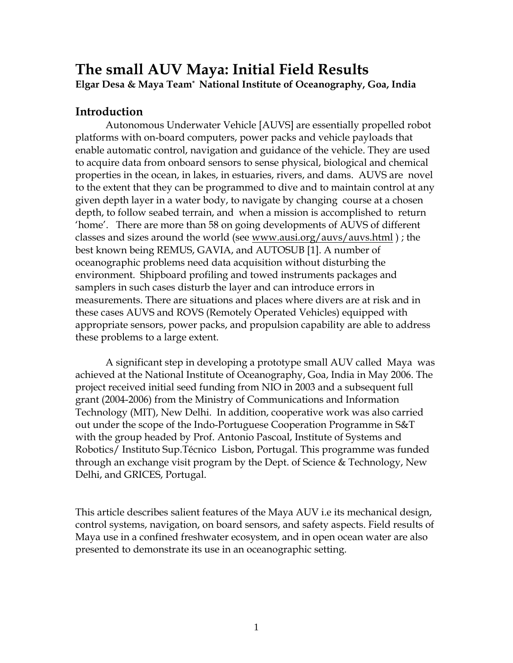# **The small AUV Maya: Initial Field Results Elgar Desa & Maya Team\* National Institute of Oceanography, Goa, India**

## **Introduction**

Autonomous Underwater Vehicle [AUVS] are essentially propelled robot platforms with on-board computers, power packs and vehicle payloads that enable automatic control, navigation and guidance of the vehicle. They are used to acquire data from onboard sensors to sense physical, biological and chemical properties in the ocean, in lakes, in estuaries, rivers, and dams. AUVS are novel to the extent that they can be programmed to dive and to maintain control at any given depth layer in a water body, to navigate by changing course at a chosen depth, to follow seabed terrain, and when a mission is accomplished to return 'home'. There are more than 58 on going developments of AUVS of different classes and sizes around the world (see www.ausi.org/auvs/auvs.html); the best known being REMUS, GAVIA, and AUTOSUB [1]. A number of oceanographic problems need data acquisition without disturbing the environment. Shipboard profiling and towed instruments packages and samplers in such cases disturb the layer and can introduce errors in measurements. There are situations and places where divers are at risk and in these cases AUVS and ROVS (Remotely Operated Vehicles) equipped with appropriate sensors, power packs, and propulsion capability are able to address these problems to a large extent.

 A significant step in developing a prototype small AUV called Maya was achieved at the National Institute of Oceanography, Goa, India in May 2006. The project received initial seed funding from NIO in 2003 and a subsequent full grant (2004-2006) from the Ministry of Communications and Information Technology (MIT), New Delhi. In addition, cooperative work was also carried out under the scope of the Indo-Portuguese Cooperation Programme in S&T with the group headed by Prof. Antonio Pascoal, Institute of Systems and Robotics/ Instituto Sup.Técnico Lisbon, Portugal. This programme was funded through an exchange visit program by the Dept. of Science & Technology, New Delhi, and GRICES, Portugal.

This article describes salient features of the Maya AUV i.e its mechanical design, control systems, navigation, on board sensors, and safety aspects. Field results of Maya use in a confined freshwater ecosystem, and in open ocean water are also presented to demonstrate its use in an oceanographic setting.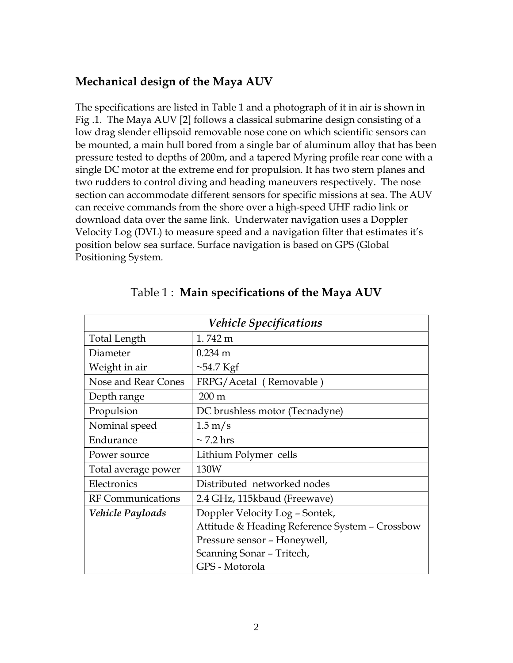## **Mechanical design of the Maya AUV**

The specifications are listed in Table 1 and a photograph of it in air is shown in Fig .1. The Maya AUV [2] follows a classical submarine design consisting of a low drag slender ellipsoid removable nose cone on which scientific sensors can be mounted, a main hull bored from a single bar of aluminum alloy that has been pressure tested to depths of 200m, and a tapered Myring profile rear cone with a single DC motor at the extreme end for propulsion. It has two stern planes and two rudders to control diving and heading maneuvers respectively. The nose section can accommodate different sensors for specific missions at sea. The AUV can receive commands from the shore over a high-speed UHF radio link or download data over the same link. Underwater navigation uses a Doppler Velocity Log (DVL) to measure speed and a navigation filter that estimates it's position below sea surface. Surface navigation is based on GPS (Global Positioning System.

| <b>Vehicle Specifications</b> |                                                |  |  |
|-------------------------------|------------------------------------------------|--|--|
| <b>Total Length</b>           | 1.742 m                                        |  |  |
| Diameter                      | $0.234$ m                                      |  |  |
| Weight in air                 | $\sim$ 54.7 Kgf                                |  |  |
| Nose and Rear Cones           | FRPG/Acetal (Removable)                        |  |  |
| Depth range                   | $200 \text{ m}$                                |  |  |
| Propulsion                    | DC brushless motor (Tecnadyne)                 |  |  |
| Nominal speed                 | $1.5 \text{ m/s}$                              |  |  |
| Endurance                     | $\sim$ 7.2 hrs                                 |  |  |
| Power source                  | Lithium Polymer cells                          |  |  |
| Total average power           | 130W                                           |  |  |
| Electronics                   | Distributed networked nodes                    |  |  |
| <b>RF</b> Communications      | 2.4 GHz, 115kbaud (Freewave)                   |  |  |
| Vehicle Payloads              | Doppler Velocity Log - Sontek,                 |  |  |
|                               | Attitude & Heading Reference System - Crossbow |  |  |
|                               | Pressure sensor - Honeywell,                   |  |  |
|                               | Scanning Sonar - Tritech,                      |  |  |
|                               | GPS - Motorola                                 |  |  |

## Table 1 : **Main specifications of the Maya AUV**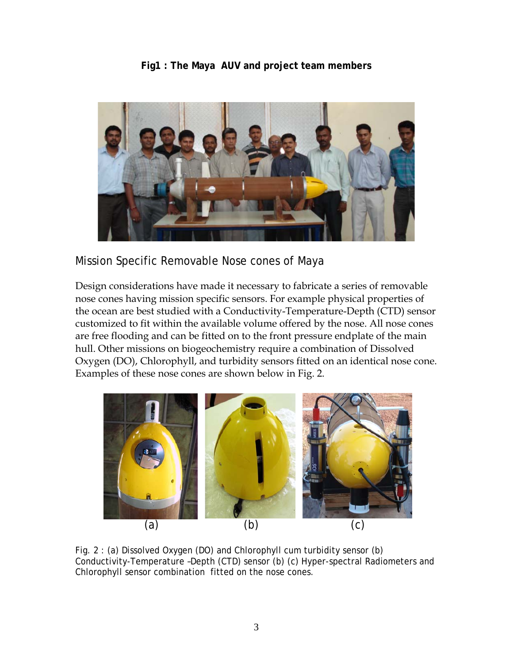#### **Fig1 : The Maya AUV and project team members**



Mission Specific Removable Nose cones of Maya

Design considerations have made it necessary to fabricate a series of removable nose cones having mission specific sensors. For example physical properties of the ocean are best studied with a Conductivity-Temperature-Depth (CTD) sensor customized to fit within the available volume offered by the nose. All nose cones are free flooding and can be fitted on to the front pressure endplate of the main hull. Other missions on biogeochemistry require a combination of Dissolved Oxygen (DO), Chlorophyll, and turbidity sensors fitted on an identical nose cone. Examples of these nose cones are shown below in Fig. 2.



Fig. 2 : (a) Dissolved Oxygen (DO) and Chlorophyll cum turbidity sensor (b) Conductivity-Temperature –Depth (CTD) sensor (b) (c) Hyper-spectral Radiometers and Chlorophyll sensor combination fitted on the nose cones.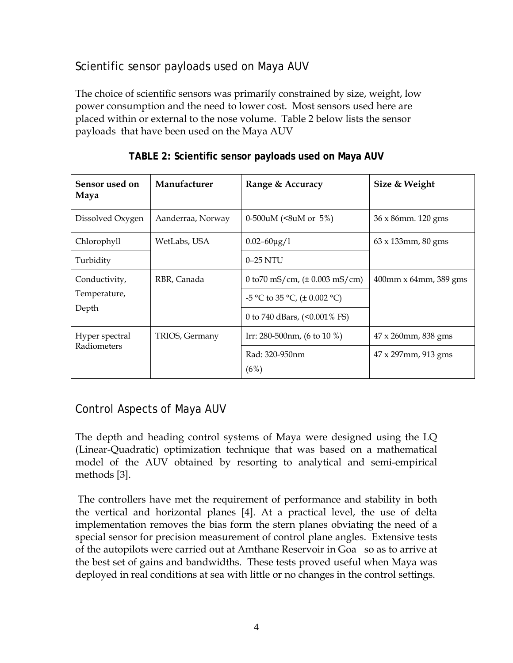# Scientific sensor payloads used on Maya AUV

The choice of scientific sensors was primarily constrained by size, weight, low power consumption and the need to lower cost. Most sensors used here are placed within or external to the nose volume. Table 2 below lists the sensor payloads that have been used on the Maya AUV

| Sensor used on<br>Maya                 | Manufacturer      | Range & Accuracy                                                                                                  | Size & Weight              |
|----------------------------------------|-------------------|-------------------------------------------------------------------------------------------------------------------|----------------------------|
| Dissolved Oxygen                       | Aanderraa, Norway | 0-500uM ( $8u$ M or 5%)                                                                                           | 36 x 86mm. 120 gms         |
| Chlorophyll                            | WetLabs, USA      | $0.02 - 60 \mu g/l$                                                                                               | $63 \times 133$ mm, 80 gms |
| Turbidity                              |                   | $0-25$ NTU                                                                                                        |                            |
| Conductivity,<br>Temperature,<br>Depth | RBR, Canada       | 0 to 70 mS/cm, $(\pm 0.003 \text{ mS/cm})$<br>-5 °C to 35 °C, $(\pm 0.002$ °C)<br>0 to 740 dBars, $(<0.001\%$ FS) | $400$ mm x 64mm, 389 gms   |
| Hyper spectral<br>Radiometers          | TRIOS, Germany    | Irr: 280-500nm, (6 to 10 %)                                                                                       | 47 x 260mm, 838 gms        |
|                                        |                   | Rad: 320-950nm<br>(6%)                                                                                            | 47 x 297mm, 913 gms        |

**TABLE 2: Scientific sensor payloads used on Maya AUV** 

# Control Aspects of Maya AUV

The depth and heading control systems of Maya were designed using the LQ (Linear-Quadratic) optimization technique that was based on a mathematical model of the AUV obtained by resorting to analytical and semi-empirical methods [3].

 The controllers have met the requirement of performance and stability in both the vertical and horizontal planes [4]. At a practical level, the use of delta implementation removes the bias form the stern planes obviating the need of a special sensor for precision measurement of control plane angles. Extensive tests of the autopilots were carried out at Amthane Reservoir in Goa so as to arrive at the best set of gains and bandwidths. These tests proved useful when Maya was deployed in real conditions at sea with little or no changes in the control settings.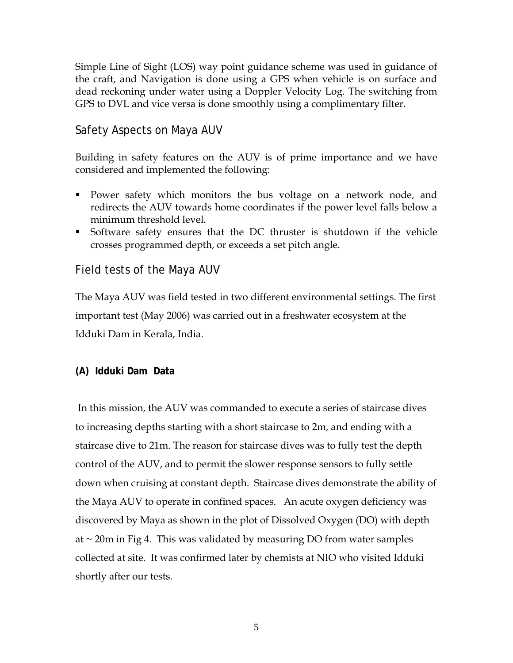Simple Line of Sight (LOS) way point guidance scheme was used in guidance of the craft, and Navigation is done using a GPS when vehicle is on surface and dead reckoning under water using a Doppler Velocity Log. The switching from GPS to DVL and vice versa is done smoothly using a complimentary filter.

## Safety Aspects on Maya AUV

Building in safety features on the AUV is of prime importance and we have considered and implemented the following:

- Power safety which monitors the bus voltage on a network node, and redirects the AUV towards home coordinates if the power level falls below a minimum threshold level.
- Software safety ensures that the DC thruster is shutdown if the vehicle crosses programmed depth, or exceeds a set pitch angle.

## Field tests of the Maya AUV

The Maya AUV was field tested in two different environmental settings. The first important test (May 2006) was carried out in a freshwater ecosystem at the Idduki Dam in Kerala, India.

#### **(A) Idduki Dam Data**

 In this mission, the AUV was commanded to execute a series of staircase dives to increasing depths starting with a short staircase to 2m, and ending with a staircase dive to 21m. The reason for staircase dives was to fully test the depth control of the AUV, and to permit the slower response sensors to fully settle down when cruising at constant depth. Staircase dives demonstrate the ability of the Maya AUV to operate in confined spaces. An acute oxygen deficiency was discovered by Maya as shown in the plot of Dissolved Oxygen (DO) with depth at  $\sim$  20m in Fig 4. This was validated by measuring DO from water samples collected at site. It was confirmed later by chemists at NIO who visited Idduki shortly after our tests.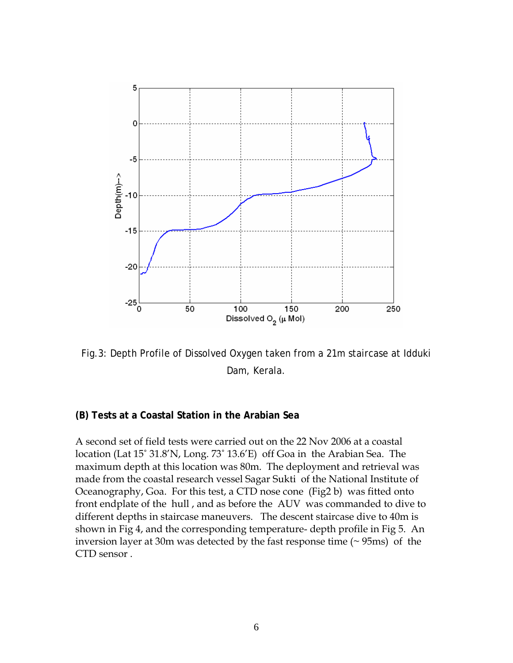

Fig.3: Depth Profile of Dissolved Oxygen taken from a 21m staircase at Idduki Dam, Kerala.

#### **(B) Tests at a Coastal Station in the Arabian Sea**

A second set of field tests were carried out on the 22 Nov 2006 at a coastal location (Lat 15˚ 31.8'N, Long. 73˚ 13.6'E) off Goa in the Arabian Sea. The maximum depth at this location was 80m. The deployment and retrieval was made from the coastal research vessel Sagar Sukti of the National Institute of Oceanography, Goa. For this test, a CTD nose cone (Fig2 b) was fitted onto front endplate of the hull , and as before the AUV was commanded to dive to different depths in staircase maneuvers. The descent staircase dive to 40m is shown in Fig 4, and the corresponding temperature- depth profile in Fig 5. An inversion layer at 30m was detected by the fast response time (~ 95ms) of the CTD sensor .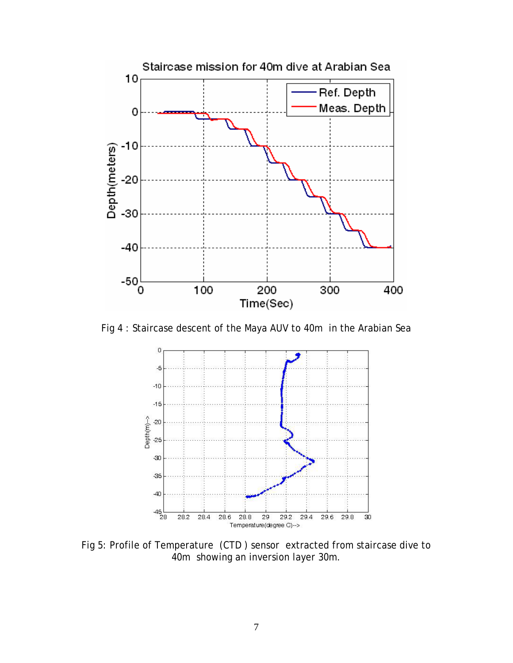

Fig 4 : Staircase descent of the Maya AUV to 40m in the Arabian Sea



Fig 5: Profile of Temperature (CTD ) sensor extracted from staircase dive to 40m showing an inversion layer 30m.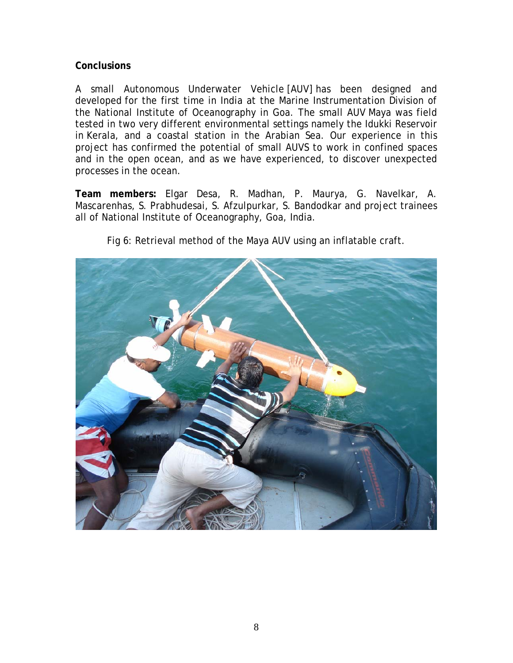#### **Conclusions**

A small Autonomous Underwater Vehicle [AUV] has been designed and developed for the first time in India at the Marine Instrumentation Division of the National Institute of Oceanography in Goa. The small AUV Maya was field tested in two very different environmental settings namely the Idukki Reservoir in Kerala, and a coastal station in the Arabian Sea. Our experience in this project has confirmed the potential of small AUVS to work in confined spaces and in the open ocean, and as we have experienced, to discover unexpected processes in the ocean.

**Team members:** Elgar Desa, R. Madhan, P. Maurya, G. Navelkar, A. Mascarenhas, S. Prabhudesai, S. Afzulpurkar, S. Bandodkar and project trainees all of National Institute of Oceanography, Goa, India.